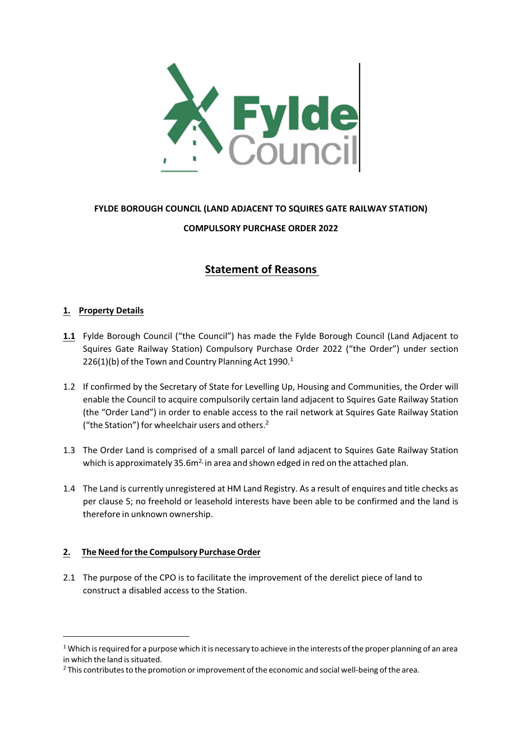

# **FYLDE BOROUGH COUNCIL (LAND ADJACENT TO SQUIRES GATE RAILWAY STATION) COMPULSORY PURCHASE ORDER 2022**

# **Statement of Reasons**

# **1. Property Details**

- **1.1** Fylde Borough Council ("the Council") has made the Fylde Borough Council (Land Adjacent to Squires Gate Railway Station) Compulsory Purchase Order 2022 ("the Order") under section  $226(1)$ (b) of the Town and Country Planning Act 1990.<sup>1</sup>
- 1.2 If confirmed by the Secretary of State for Levelling Up, Housing and Communities, the Order will enable the Council to acquire compulsorily certain land adjacent to Squires Gate Railway Station (the "Order Land") in order to enable access to the rail network at Squires Gate Railway Station ("the Station") for wheelchair users and others. 2
- 1.3 The Order Land is comprised of a small parcel of land adjacent to Squires Gate Railway Station which is approximately 35.6m<sup>2,</sup> in area and shown edged in red on the attached plan.
- 1.4 The Land is currently unregistered at HM Land Registry. As a result of enquires and title checks as per clause 5; no freehold or leasehold interests have been able to be confirmed and the land is therefore in unknown ownership.

# **2. The Need forthe Compulsory Purchase Order**

2.1 The purpose of the CPO is to facilitate the improvement of the derelict piece of land to construct a disabled access to the Station.

 $1$  Which is required for a purpose which it is necessary to achieve in the interests of the proper planning of an area in which the land is situated.

 $^2$  This contributes to the promotion or improvement of the economic and social well-being of the area.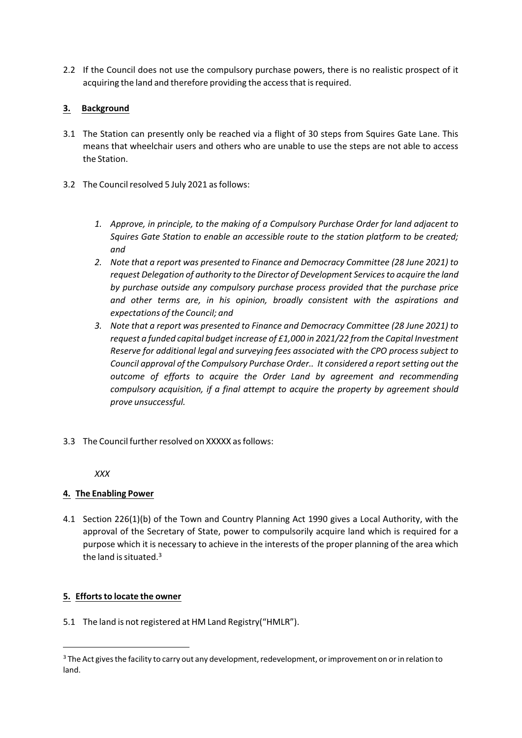2.2 If the Council does not use the compulsory purchase powers, there is no realistic prospect of it acquiring the land and therefore providing the access that is required.

# **3. Background**

- 3.1 The Station can presently only be reached via a flight of 30 steps from Squires Gate Lane. This means that wheelchair users and others who are unable to use the steps are not able to access the Station.
- 3.2 The Council resolved 5 July 2021 as follows:
	- *1. Approve, in principle, to the making of a Compulsory Purchase Order for land adjacent to Squires Gate Station to enable an accessible route to the station platform to be created; and*
	- *2. Note that a report was presented to Finance and Democracy Committee (28 June 2021) to request Delegation of authority to the Director of Development Servicesto acquire the land by purchase outside any compulsory purchase process provided that the purchase price and other terms are, in his opinion, broadly consistent with the aspirations and expectations of the Council; and*
	- *3. Note that a report was presented to Finance and Democracy Committee (28 June 2021) to request a funded capital budget increase of £1,000 in 2021/22 from the Capital Investment Reserve for additional legal and surveying fees associated with the CPO process subject to Council approval of the Compulsory Purchase Order.. It considered a report setting out the outcome of efforts to acquire the Order Land by agreement and recommending compulsory acquisition, if a final attempt to acquire the property by agreement should prove unsuccessful.*
- 3.3 The Council further resolved on XXXXX as follows:

*XXX*

# **4. The Enabling Power**

4.1 Section 226(1)(b) of the Town and Country Planning Act 1990 gives a Local Authority, with the approval of the Secretary of State, power to compulsorily acquire land which is required for a purpose which it is necessary to achieve in the interests of the proper planning of the area which the land is situated. $3$ 

# **5. Effortsto locate the owner**

5.1 The land is not registered at HM Land Registry("HMLR").

<sup>&</sup>lt;sup>3</sup> The Act gives the facility to carry out any development, redevelopment, or improvement on or in relation to land.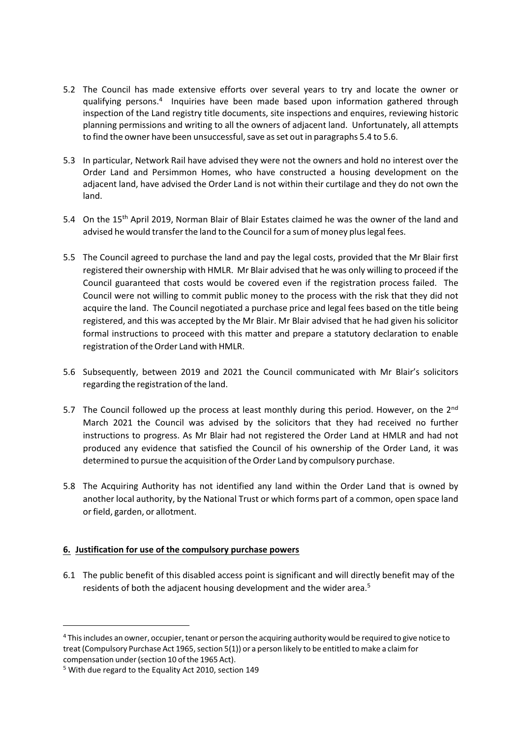- 5.2 The Council has made extensive efforts over several years to try and locate the owner or qualifying persons.<sup>4</sup> Inquiries have been made based upon information gathered through inspection of the Land registry title documents, site inspections and enquires, reviewing historic planning permissions and writing to all the owners of adjacent land. Unfortunately, all attempts to find the owner have been unsuccessful, save as set out in paragraphs 5.4 to 5.6.
- 5.3 In particular, Network Rail have advised they were not the owners and hold no interest over the Order Land and Persimmon Homes, who have constructed a housing development on the adjacent land, have advised the Order Land is not within their curtilage and they do not own the land.
- 5.4 On the 15<sup>th</sup> April 2019, Norman Blair of Blair Estates claimed he was the owner of the land and advised he would transferthe land to the Council for a sum of money pluslegal fees.
- 5.5 The Council agreed to purchase the land and pay the legal costs, provided that the Mr Blair first registered their ownership with HMLR. Mr Blair advised that he was only willing to proceed if the Council guaranteed that costs would be covered even if the registration process failed. The Council were not willing to commit public money to the process with the risk that they did not acquire the land. The Council negotiated a purchase price and legal fees based on the title being registered, and this was accepted by the Mr Blair. Mr Blair advised that he had given his solicitor formal instructions to proceed with this matter and prepare a statutory declaration to enable registration of the Order Land with HMLR.
- 5.6 Subsequently, between 2019 and 2021 the Council communicated with Mr Blair's solicitors regarding the registration of the land.
- 5.7 The Council followed up the process at least monthly during this period. However, on the 2<sup>nd</sup> March 2021 the Council was advised by the solicitors that they had received no further instructions to progress. As Mr Blair had not registered the Order Land at HMLR and had not produced any evidence that satisfied the Council of his ownership of the Order Land, it was determined to pursue the acquisition of the Order Land by compulsory purchase.
- 5.8 The Acquiring Authority has not identified any land within the Order Land that is owned by another local authority, by the National Trust or which forms part of a common, open space land orfield, garden, or allotment.

#### **6. Justification for use of the compulsory purchase powers**

6.1 The public benefit of this disabled access point is significant and will directly benefit may of the residents of both the adjacent housing development and the wider area.<sup>5</sup>

<sup>&</sup>lt;sup>4</sup> This includes an owner, occupier, tenant or person the acquiring authority would be required to give notice to treat (Compulsory Purchase Act 1965, section 5(1)) or a person likely to be entitled to make a claim for compensation under (section 10 of the 1965 Act).

<sup>5</sup> With due regard to the Equality Act 2010, section 149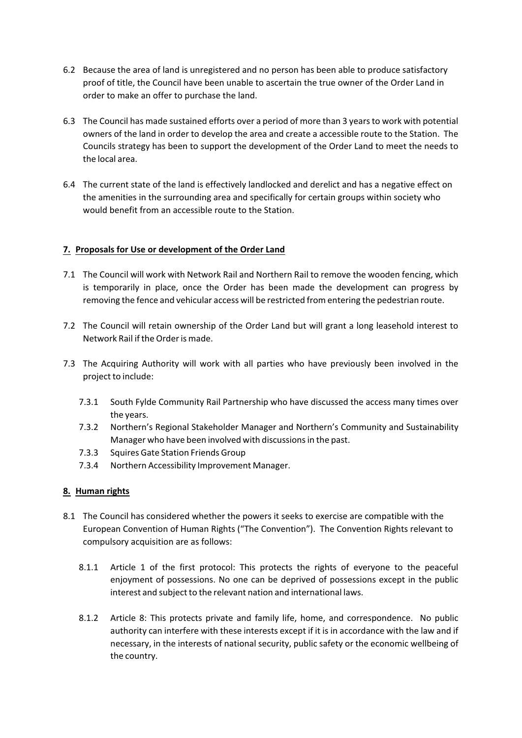- 6.2 Because the area of land is unregistered and no person has been able to produce satisfactory proof of title, the Council have been unable to ascertain the true owner of the Order Land in order to make an offer to purchase the land.
- 6.3 The Council has made sustained efforts over a period of more than 3 yearsto work with potential owners of the land in order to develop the area and create a accessible route to the Station. The Councils strategy has been to support the development of the Order Land to meet the needs to the local area.
- 6.4 The current state of the land is effectively landlocked and derelict and has a negative effect on the amenities in the surrounding area and specifically for certain groups within society who would benefit from an accessible route to the Station.

# **7. Proposals for Use or development of the Order Land**

- 7.1 The Council will work with Network Rail and Northern Rail to remove the wooden fencing, which is temporarily in place, once the Order has been made the development can progress by removing the fence and vehicular access will be restricted from entering the pedestrian route.
- 7.2 The Council will retain ownership of the Order Land but will grant a long leasehold interest to Network Rail if the Order is made.
- 7.3 The Acquiring Authority will work with all parties who have previously been involved in the project to include:
	- 7.3.1 South Fylde Community Rail Partnership who have discussed the access many times over the years.
	- 7.3.2 Northern's Regional Stakeholder Manager and Northern's Community and Sustainability Manager who have been involved with discussions in the past.
	- 7.3.3 Squires Gate Station Friends Group
	- 7.3.4 Northern Accessibility Improvement Manager.

#### **8. Human rights**

- 8.1 The Council has considered whether the powers it seeks to exercise are compatible with the European Convention of Human Rights ("The Convention"). The Convention Rights relevant to compulsory acquisition are as follows:
	- 8.1.1 Article 1 of the first protocol: This protects the rights of everyone to the peaceful enjoyment of possessions. No one can be deprived of possessions except in the public interest and subject to the relevant nation and international laws.
	- 8.1.2 Article 8: This protects private and family life, home, and correspondence. No public authority can interfere with these interests except if it is in accordance with the law and if necessary, in the interests of national security, public safety or the economic wellbeing of the country.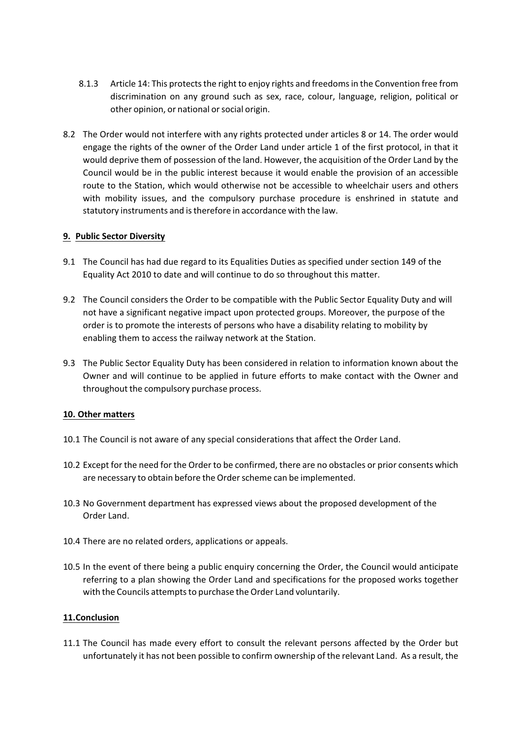- 8.1.3 Article 14: This protects the right to enjoy rights and freedoms in the Convention free from discrimination on any ground such as sex, race, colour, language, religion, political or other opinion, or national or social origin.
- 8.2 The Order would not interfere with any rights protected under articles 8 or 14. The order would engage the rights of the owner of the Order Land under article 1 of the first protocol, in that it would deprive them of possession of the land. However, the acquisition of the Order Land by the Council would be in the public interest because it would enable the provision of an accessible route to the Station, which would otherwise not be accessible to wheelchair users and others with mobility issues, and the compulsory purchase procedure is enshrined in statute and statutory instruments and is therefore in accordance with the law.

#### **9. Public Sector Diversity**

- 9.1 The Council has had due regard to its Equalities Duties as specified under section 149 of the Equality Act 2010 to date and will continue to do so throughout this matter.
- 9.2 The Council considers the Order to be compatible with the Public Sector Equality Duty and will not have a significant negative impact upon protected groups. Moreover, the purpose of the order is to promote the interests of persons who have a disability relating to mobility by enabling them to access the railway network at the Station.
- 9.3 The Public Sector Equality Duty has been considered in relation to information known about the Owner and will continue to be applied in future efforts to make contact with the Owner and throughout the compulsory purchase process.

#### **10. Other matters**

- 10.1 The Council is not aware of any special considerations that affect the Order Land.
- 10.2 Except for the need for the Order to be confirmed, there are no obstacles or prior consents which are necessary to obtain before the Order scheme can be implemented.
- 10.3 No Government department has expressed views about the proposed development of the Order Land.
- 10.4 There are no related orders, applications or appeals.
- 10.5 In the event of there being a public enquiry concerning the Order, the Council would anticipate referring to a plan showing the Order Land and specifications for the proposed works together with the Councils attempts to purchase the Order Land voluntarily.

#### **11.Conclusion**

11.1 The Council has made every effort to consult the relevant persons affected by the Order but unfortunately it has not been possible to confirm ownership of the relevant Land. As a result, the